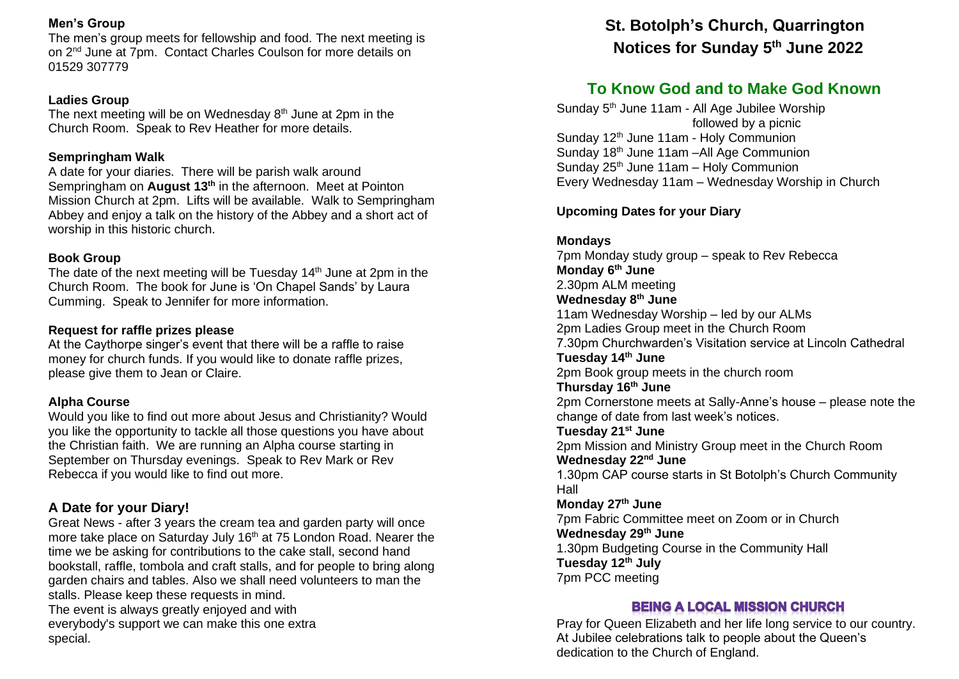#### **Men's Group**

The men's group meets for fellowship and food. The next meeting is on 2nd June at 7pm. Contact Charles Coulson for more details on 01529 307779

#### **Ladies Group**

The next meeting will be on Wednesday 8<sup>th</sup> June at 2pm in the Church Room. Speak to Rev Heather for more details.

### **Sempringham Walk**

A date for your diaries. There will be parish walk around Sempringham on **August 13th** in the afternoon. Meet at Pointon Mission Church at 2pm. Lifts will be available. Walk to Sempringham Abbey and enjoy a talk on the history of the Abbey and a short act of worship in this historic church.

#### **Book Group**

The date of the next meeting will be Tuesday  $14<sup>th</sup>$  June at 2pm in the Church Room. The book for June is 'On Chapel Sands' by Laura Cumming. Speak to Jennifer for more information.

### **Request for raffle prizes please**

At the Caythorpe singer's event that there will be a raffle to raise money for church funds. If you would like to donate raffle prizes, please give them to Jean or Claire.

## **Alpha Course**

Would you like to find out more about Jesus and Christianity? Would you like the opportunity to tackle all those questions you have about the Christian faith. We are running an Alpha course starting in September on Thursday evenings. Speak to Rev Mark or Rev Rebecca if you would like to find out more.

## **A Date for your Diary!**

Great News - after 3 years the cream tea and garden party will once more take place on Saturday July 16<sup>th</sup> at 75 London Road. Nearer the time we be asking for contributions to the cake stall, second hand bookstall, raffle, tombola and craft stalls, and for people to bring along garden chairs and tables. Also we shall need volunteers to man the stalls. Please keep these requests in mind. The event is always greatly enjoyed and with everybody's support we can make this one extra special.

# **St. Botolph's Church, Quarrington Notices for Sunday 5th June 2022**

## **To Know God and to Make God Known**

Sunday 5<sup>th</sup> June 11am - All Age Jubilee Worship followed by a picnic Sunday 12<sup>th</sup> June 11am - Holy Communion Sunday 18th June 11am –All Age Communion Sunday  $25<sup>th</sup>$  June 11am – Holy Communion Every Wednesday 11am – Wednesday Worship in Church

## **Upcoming Dates for your Diary**

**Mondays**

7pm Monday study group – speak to Rev Rebecca **Monday 6th June** 2.30pm ALM meeting **Wednesday 8th June** 11am Wednesday Worship – led by our ALMs 2pm Ladies Group meet in the Church Room 7.30pm Churchwarden's Visitation service at Lincoln Cathedral **Tuesday 14th June** 2pm Book group meets in the church room **Thursday 16th June** 2pm Cornerstone meets at Sally-Anne's house – please note the change of date from last week's notices. **Tuesday 21st June** 2pm Mission and Ministry Group meet in the Church Room **Wednesday 22nd June** 1.30pm CAP course starts in St Botolph's Church Community Hall **Monday 27th June** 7pm Fabric Committee meet on Zoom or in Church **Wednesday 29th June** 1.30pm Budgeting Course in the Community Hall **Tuesday 12th July** 7pm PCC meeting

## **BEING A LOCAL MISSION CHURCH**

Pray for Queen Elizabeth and her life long service to our country. At Jubilee celebrations talk to people about the Queen's dedication to the Church of England.